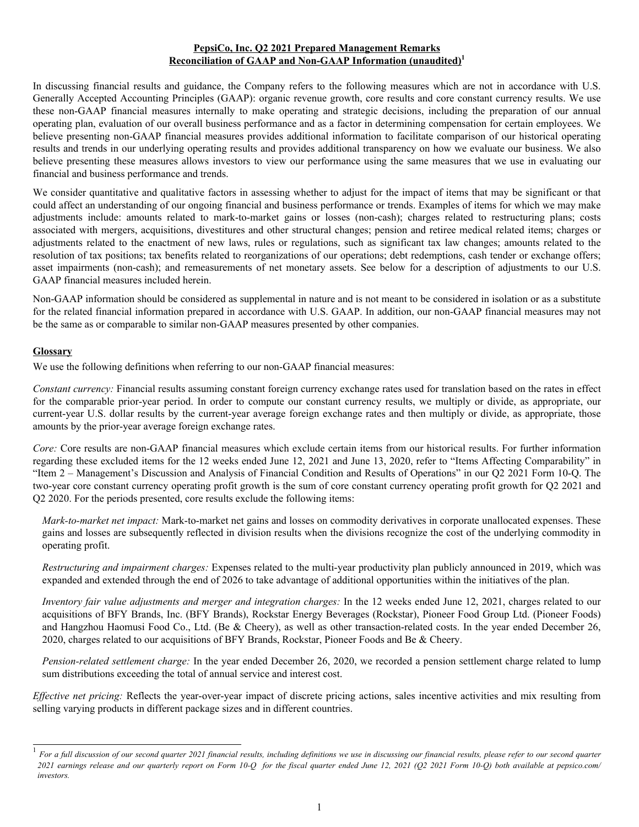## **PepsiCo, Inc. Q2 2021 Prepared Management Remarks Reconciliation of GAAP and Non-GAAP Information (unaudited)<sup>1</sup>**

In discussing financial results and guidance, the Company refers to the following measures which are not in accordance with U.S. Generally Accepted Accounting Principles (GAAP): organic revenue growth, core results and core constant currency results. We use these non-GAAP financial measures internally to make operating and strategic decisions, including the preparation of our annual operating plan, evaluation of our overall business performance and as a factor in determining compensation for certain employees. We believe presenting non-GAAP financial measures provides additional information to facilitate comparison of our historical operating results and trends in our underlying operating results and provides additional transparency on how we evaluate our business. We also believe presenting these measures allows investors to view our performance using the same measures that we use in evaluating our financial and business performance and trends.

We consider quantitative and qualitative factors in assessing whether to adjust for the impact of items that may be significant or that could affect an understanding of our ongoing financial and business performance or trends. Examples of items for which we may make adjustments include: amounts related to mark-to-market gains or losses (non-cash); charges related to restructuring plans; costs associated with mergers, acquisitions, divestitures and other structural changes; pension and retiree medical related items; charges or adjustments related to the enactment of new laws, rules or regulations, such as significant tax law changes; amounts related to the resolution of tax positions; tax benefits related to reorganizations of our operations; debt redemptions, cash tender or exchange offers; asset impairments (non-cash); and remeasurements of net monetary assets. See below for a description of adjustments to our U.S. GAAP financial measures included herein.

Non-GAAP information should be considered as supplemental in nature and is not meant to be considered in isolation or as a substitute for the related financial information prepared in accordance with U.S. GAAP. In addition, our non-GAAP financial measures may not be the same as or comparable to similar non-GAAP measures presented by other companies.

## **Glossary**

We use the following definitions when referring to our non-GAAP financial measures:

*Constant currency:* Financial results assuming constant foreign currency exchange rates used for translation based on the rates in effect for the comparable prior-year period. In order to compute our constant currency results, we multiply or divide, as appropriate, our current-year U.S. dollar results by the current-year average foreign exchange rates and then multiply or divide, as appropriate, those amounts by the prior-year average foreign exchange rates.

*Core:* Core results are non-GAAP financial measures which exclude certain items from our historical results. For further information regarding these excluded items for the 12 weeks ended June 12, 2021 and June 13, 2020, refer to "Items Affecting Comparability" in "Item 2 – Management's Discussion and Analysis of Financial Condition and Results of Operations" in our Q2 2021 Form 10-Q. The two-year core constant currency operating profit growth is the sum of core constant currency operating profit growth for Q2 2021 and Q2 2020. For the periods presented, core results exclude the following items:

*Mark-to-market net impact:* Mark-to-market net gains and losses on commodity derivatives in corporate unallocated expenses. These gains and losses are subsequently reflected in division results when the divisions recognize the cost of the underlying commodity in operating profit.

*Restructuring and impairment charges:* Expenses related to the multi-year productivity plan publicly announced in 2019, which was expanded and extended through the end of 2026 to take advantage of additional opportunities within the initiatives of the plan.

*Inventory fair value adjustments and merger and integration charges:* In the 12 weeks ended June 12, 2021, charges related to our acquisitions of BFY Brands, Inc. (BFY Brands), Rockstar Energy Beverages (Rockstar), Pioneer Food Group Ltd. (Pioneer Foods) and Hangzhou Haomusi Food Co., Ltd. (Be & Cheery), as well as other transaction-related costs. In the year ended December 26, 2020, charges related to our acquisitions of BFY Brands, Rockstar, Pioneer Foods and Be & Cheery.

*Pension-related settlement charge:* In the year ended December 26, 2020, we recorded a pension settlement charge related to lump sum distributions exceeding the total of annual service and interest cost.

*Effective net pricing:* Reflects the year-over-year impact of discrete pricing actions, sales incentive activities and mix resulting from selling varying products in different package sizes and in different countries.

<sup>1</sup> *For a full discussion of our second quarter 2021 financial results, including definitions we use in discussing our financial results, please refer to our second quarter 2021 earnings release and our quarterly report on Form 10-Q for the fiscal quarter ended June 12, 2021 (Q2 2021 Form 10-Q) both available at pepsico.com/ investors.*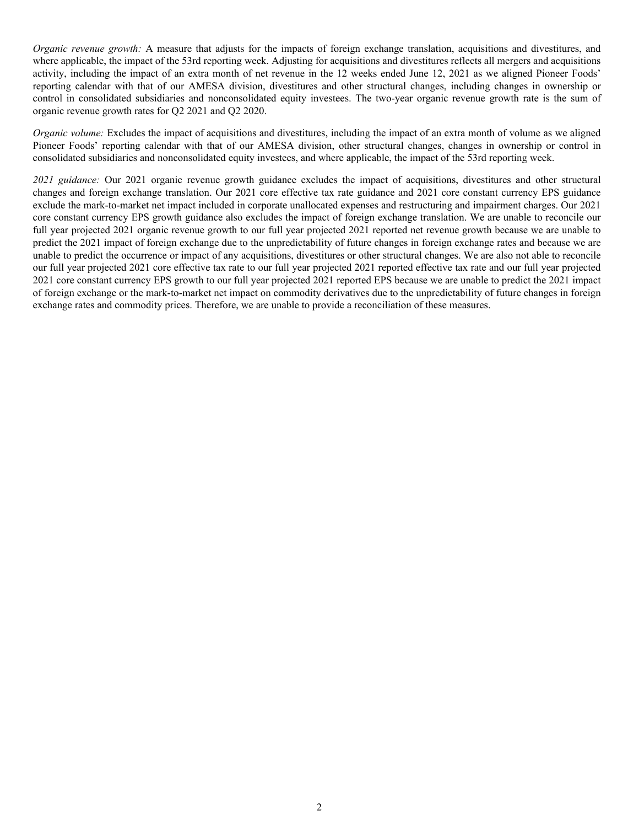*Organic revenue growth:* A measure that adjusts for the impacts of foreign exchange translation, acquisitions and divestitures, and where applicable, the impact of the 53rd reporting week. Adjusting for acquisitions and divestitures reflects all mergers and acquisitions activity, including the impact of an extra month of net revenue in the 12 weeks ended June 12, 2021 as we aligned Pioneer Foods' reporting calendar with that of our AMESA division, divestitures and other structural changes, including changes in ownership or control in consolidated subsidiaries and nonconsolidated equity investees. The two-year organic revenue growth rate is the sum of organic revenue growth rates for Q2 2021 and Q2 2020.

*Organic volume:* Excludes the impact of acquisitions and divestitures, including the impact of an extra month of volume as we aligned Pioneer Foods' reporting calendar with that of our AMESA division, other structural changes, changes in ownership or control in consolidated subsidiaries and nonconsolidated equity investees, and where applicable, the impact of the 53rd reporting week.

*2021 guidance:* Our 2021 organic revenue growth guidance excludes the impact of acquisitions, divestitures and other structural changes and foreign exchange translation. Our 2021 core effective tax rate guidance and 2021 core constant currency EPS guidance exclude the mark-to-market net impact included in corporate unallocated expenses and restructuring and impairment charges. Our 2021 core constant currency EPS growth guidance also excludes the impact of foreign exchange translation. We are unable to reconcile our full year projected 2021 organic revenue growth to our full year projected 2021 reported net revenue growth because we are unable to predict the 2021 impact of foreign exchange due to the unpredictability of future changes in foreign exchange rates and because we are unable to predict the occurrence or impact of any acquisitions, divestitures or other structural changes. We are also not able to reconcile our full year projected 2021 core effective tax rate to our full year projected 2021 reported effective tax rate and our full year projected 2021 core constant currency EPS growth to our full year projected 2021 reported EPS because we are unable to predict the 2021 impact of foreign exchange or the mark-to-market net impact on commodity derivatives due to the unpredictability of future changes in foreign exchange rates and commodity prices. Therefore, we are unable to provide a reconciliation of these measures.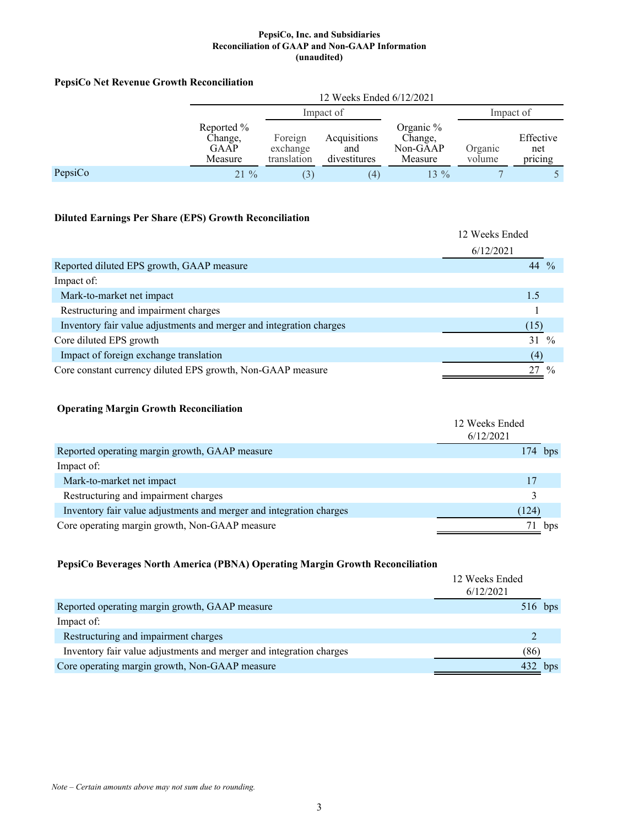# **PepsiCo Net Revenue Growth Reconciliation**

|         | 12 Weeks Ended 6/12/2021                        |                                    |                                     |                                             |                   |                             |  |
|---------|-------------------------------------------------|------------------------------------|-------------------------------------|---------------------------------------------|-------------------|-----------------------------|--|
|         |                                                 | Impact of                          |                                     |                                             | Impact of         |                             |  |
|         | Reported %<br>Change,<br><b>GAAP</b><br>Measure | Foreign<br>exchange<br>translation | Acquisitions<br>and<br>divestitures | Organic %<br>Change,<br>Non-GAAP<br>Measure | Organic<br>volume | Effective<br>net<br>pricing |  |
| PepsiCo | $21\%$                                          | $\mathfrak{S}$                     | (4)                                 | $13\%$                                      |                   |                             |  |

# **Diluted Earnings Per Share (EPS) Growth Reconciliation**

|                                                                     | 12 Weeks Ended<br>6/12/2021 |
|---------------------------------------------------------------------|-----------------------------|
| Reported diluted EPS growth, GAAP measure                           | 44 $\frac{9}{6}$            |
| Impact of:                                                          |                             |
| Mark-to-market net impact                                           | 1.5                         |
| Restructuring and impairment charges                                |                             |
| Inventory fair value adjustments and merger and integration charges | (15)                        |
| Core diluted EPS growth                                             | 31<br>$\frac{0}{0}$         |
| Impact of foreign exchange translation                              | (4)                         |
| Core constant currency diluted EPS growth, Non-GAAP measure         | 27                          |

# **Operating Margin Growth Reconciliation**

|                                                                     | 12 Weeks Ended<br>6/12/2021 |           |
|---------------------------------------------------------------------|-----------------------------|-----------|
| Reported operating margin growth, GAAP measure                      |                             | $174$ bps |
| Impact of:                                                          |                             |           |
| Mark-to-market net impact                                           | 17                          |           |
| Restructuring and impairment charges                                |                             |           |
| Inventory fair value adjustments and merger and integration charges | (124)                       |           |
| Core operating margin growth, Non-GAAP measure                      |                             | bps       |

# **PepsiCo Beverages North America (PBNA) Operating Margin Growth Reconciliation**

|                                                                     | 12 Weeks Ended<br>6/12/2021 |
|---------------------------------------------------------------------|-----------------------------|
| Reported operating margin growth, GAAP measure                      | $516$ bps                   |
| Impact of:                                                          |                             |
| Restructuring and impairment charges                                |                             |
| Inventory fair value adjustments and merger and integration charges | (86)                        |
| Core operating margin growth, Non-GAAP measure                      | 432<br>bps                  |

*Note – Certain amounts above may not sum due to rounding.*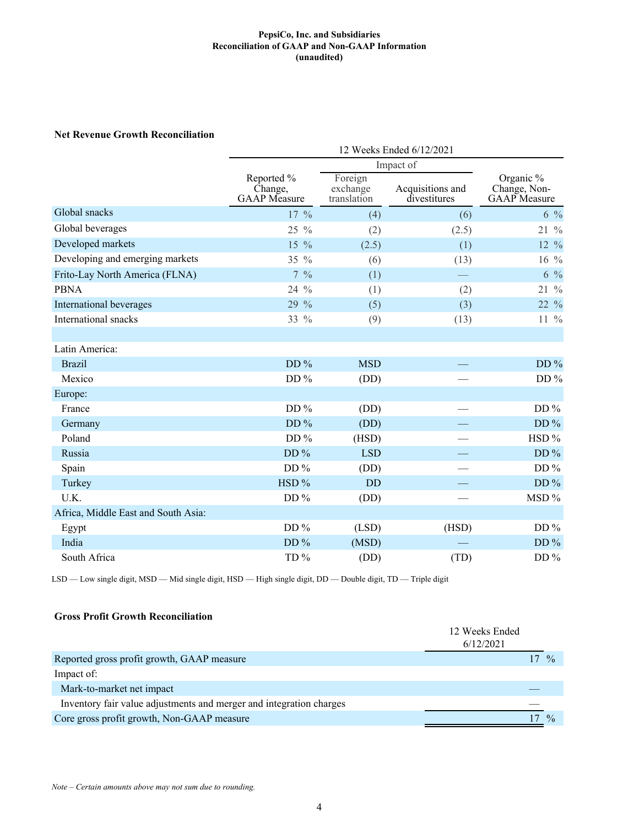## **Net Revenue Growth Reconciliation**

|                                     | 12 Weeks Ended 6/12/2021                     |                                    |                                  |                                                  |  |  |
|-------------------------------------|----------------------------------------------|------------------------------------|----------------------------------|--------------------------------------------------|--|--|
|                                     | Impact of                                    |                                    |                                  |                                                  |  |  |
|                                     | Reported %<br>Change,<br><b>GAAP</b> Measure | Foreign<br>exchange<br>translation | Acquisitions and<br>divestitures | Organic %<br>Change, Non-<br><b>GAAP</b> Measure |  |  |
| Global snacks                       | $17\%$                                       | (4)                                | (6)                              | $6\%$                                            |  |  |
| Global beverages                    | $\frac{0}{0}$<br>25                          | (2)                                | (2.5)                            | $21\%$                                           |  |  |
| Developed markets                   | $\frac{0}{0}$<br>15                          | (2.5)                              | (1)                              | 12 %                                             |  |  |
| Developing and emerging markets     | 35 %                                         | (6)                                | (13)                             | $16\%$                                           |  |  |
| Frito-Lay North America (FLNA)      | $7\frac{9}{6}$                               | (1)                                |                                  | $6\frac{9}{6}$                                   |  |  |
| <b>PBNA</b>                         | $\frac{0}{0}$<br>24                          | (1)                                | (2)                              | 21 %                                             |  |  |
| International beverages             | 29 %                                         | (5)                                | (3)                              | 22 %                                             |  |  |
| International snacks                | 33 %                                         | (9)                                | (13)                             | $11\frac{9}{6}$                                  |  |  |
|                                     |                                              |                                    |                                  |                                                  |  |  |
| Latin America:                      |                                              |                                    |                                  |                                                  |  |  |
| <b>Brazil</b>                       | DD%                                          | <b>MSD</b>                         |                                  | $DD\%$                                           |  |  |
| Mexico                              | DD $\%$                                      | (DD)                               |                                  | DD $%$                                           |  |  |
| Europe:                             |                                              |                                    |                                  |                                                  |  |  |
| France                              | DD %                                         | (DD)                               |                                  | DD $%$                                           |  |  |
| Germany                             | DD%                                          | (DD)                               |                                  | DD $%$                                           |  |  |
| Poland                              | DD $%$                                       | (HSD)                              |                                  | HSD %                                            |  |  |
| Russia                              | DD $%$                                       | <b>LSD</b>                         |                                  | DD $%$                                           |  |  |
| Spain                               | DD%                                          | (DD)                               |                                  | DD $%$                                           |  |  |
| Turkey                              | HSD %                                        | <b>DD</b>                          |                                  | DD $%$                                           |  |  |
| U.K.                                | DD $%$                                       | (DD)                               |                                  | MSD %                                            |  |  |
| Africa, Middle East and South Asia: |                                              |                                    |                                  |                                                  |  |  |
| Egypt                               | DD $%$                                       | (LSD)                              | (HSD)                            | DD $%$                                           |  |  |
| India                               | DD $%$                                       | (MSD)                              |                                  | DD $%$                                           |  |  |
| South Africa                        | TD%                                          | (DD)                               | (TD)                             | DD $%$                                           |  |  |

LSD — Low single digit, MSD — Mid single digit, HSD — High single digit, DD — Double digit, TD — Triple digit

# **Gross Profit Growth Reconciliation**

|                                                                     | 12 Weeks Ended<br>6/12/2021 |
|---------------------------------------------------------------------|-----------------------------|
| Reported gross profit growth, GAAP measure                          | $\frac{0}{2}$               |
| Impact of:                                                          |                             |
| Mark-to-market net impact                                           |                             |
| Inventory fair value adjustments and merger and integration charges |                             |
| Core gross profit growth, Non-GAAP measure                          | $\frac{0}{2}$               |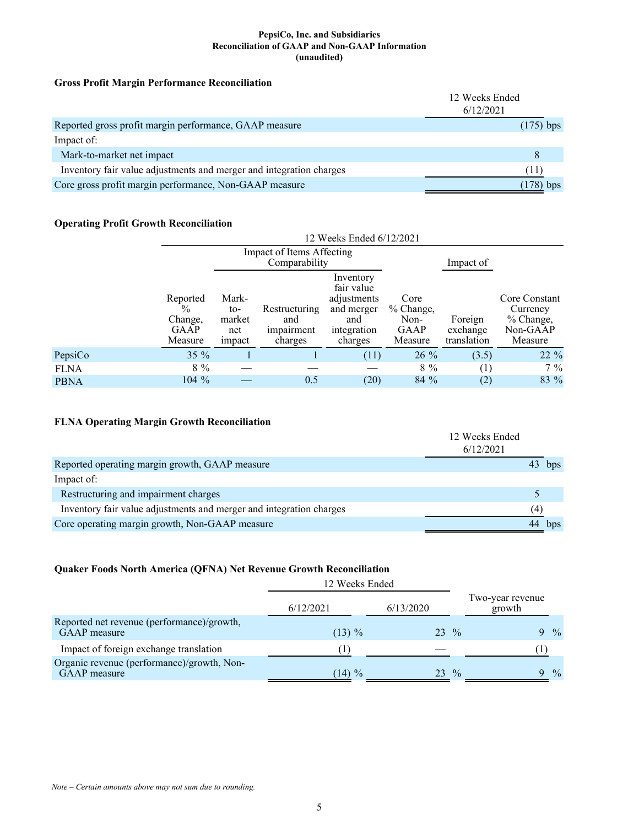## **Gross Profit Margin Performance Reconciliation**

|                                                                     | 12 Weeks Ended<br>6/12/2021 |
|---------------------------------------------------------------------|-----------------------------|
| Reported gross profit margin performance, GAAP measure              | $(175)$ bps                 |
| Impact of:                                                          |                             |
| Mark-to-market net impact                                           | 8                           |
| Inventory fair value adjustments and merger and integration charges | . I I '                     |
| Core gross profit margin performance, Non-GAAP measure              | 178)<br>bps                 |

# **Operating Profit Growth Reconciliation**

| $\tilde{\phantom{a}}$ |                                                                |                                         | Impact of Items Affecting<br>Comparability    | 12 Weeks Ended 6/12/2021                                                              |                                                     | Impact of                          |                                                               |
|-----------------------|----------------------------------------------------------------|-----------------------------------------|-----------------------------------------------|---------------------------------------------------------------------------------------|-----------------------------------------------------|------------------------------------|---------------------------------------------------------------|
|                       | Reported<br>$\frac{0}{0}$<br>Change,<br><b>GAAP</b><br>Measure | Mark-<br>to-<br>market<br>net<br>impact | Restructuring<br>and<br>impairment<br>charges | Inventory<br>fair value<br>adjustments<br>and merger<br>and<br>integration<br>charges | Core<br>% Change,<br>Non-<br><b>GAAP</b><br>Measure | Foreign<br>exchange<br>translation | Core Constant<br>Currency<br>% Change,<br>Non-GAAP<br>Measure |
| PepsiCo               | $35\%$                                                         |                                         |                                               | (11)                                                                                  | $26\%$                                              | (3.5)                              | 22 %                                                          |
| <b>FLNA</b>           | $8\%$                                                          |                                         |                                               |                                                                                       | $8\%$                                               | (1)                                | $7\%$                                                         |
| <b>PBNA</b>           | $104\%$                                                        |                                         | 0.5                                           | (20)                                                                                  | $84\%$                                              | (2)                                | 83 %                                                          |

# **FLNA Operating Margin Growth Reconciliation**

|                                                                     | 12 Weeks Ended<br>6/12/2021 |     |
|---------------------------------------------------------------------|-----------------------------|-----|
| Reported operating margin growth, GAAP measure                      |                             | bps |
| Impact of:                                                          |                             |     |
| Restructuring and impairment charges                                |                             |     |
| Inventory fair value adjustments and merger and integration charges | (4)                         |     |
| Core operating margin growth, Non-GAAP measure                      | 44                          | bps |

# **Quaker Foods North America (QFNA) Net Revenue Growth Reconciliation**

|                                                                   | 12 Weeks Ended |           |               |                            |               |
|-------------------------------------------------------------------|----------------|-----------|---------------|----------------------------|---------------|
|                                                                   | 6/12/2021      | 6/13/2020 |               | Two-year revenue<br>growth |               |
| Reported net revenue (performance)/growth,<br>GAAP measure        | $(13) \%$      | 23 %      |               | <b>Q</b>                   | $\frac{0}{0}$ |
| Impact of foreign exchange translation                            | (1)            |           |               |                            |               |
| Organic revenue (performance)/growth, Non-<br><b>GAAP</b> measure | $(14) \%$      | 23        | $\frac{0}{0}$ | Q                          | $\frac{0}{0}$ |